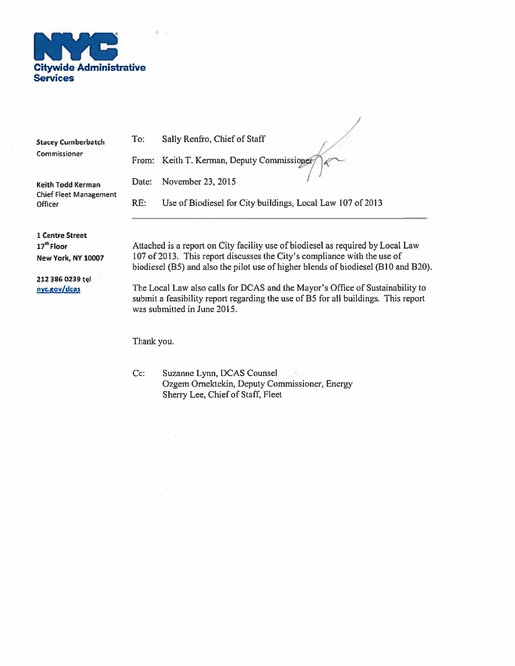

à.

| <b>Stacey Cumberbatch</b>                       | To:        | Sally Renfro, Chief of Staff                                                                                                                                                                                                                      |
|-------------------------------------------------|------------|---------------------------------------------------------------------------------------------------------------------------------------------------------------------------------------------------------------------------------------------------|
| Commissioner                                    |            | From: Keith T. Kerman, Deputy Commissioner                                                                                                                                                                                                        |
| <b>Keith Todd Kerman</b>                        | Date:      | November 23, 2015                                                                                                                                                                                                                                 |
| <b>Chief Fleet Management</b><br><b>Officer</b> | RE:        | Use of Biodiesel for City buildings, Local Law 107 of 2013                                                                                                                                                                                        |
| <b>1 Centre Street</b>                          |            |                                                                                                                                                                                                                                                   |
| 17 <sup>th</sup> Floor<br>New York, NY 10007    |            | Attached is a report on City facility use of biodiesel as required by Local Law<br>107 of 2013. This report discusses the City's compliance with the use of<br>biodiesel (B5) and also the pilot use of higher blends of biodiesel (B10 and B20). |
| 212 386 0239 tel<br>nyc.gov/dcas                |            | The Local Law also calls for DCAS and the Mayor's Office of Sustainability to<br>submit a feasibility report regarding the use of B5 for all buildings. This report<br>was submitted in June 2015.                                                |
|                                                 | Thank you. |                                                                                                                                                                                                                                                   |

 $\overline{1}$ 

Suzanne Lynn, DCAS Counsel<br>Ozgem Ornektekin, Deputy Commissioner, Energy<br>Sherry Lee, Chief of Staff, Fleet Cc: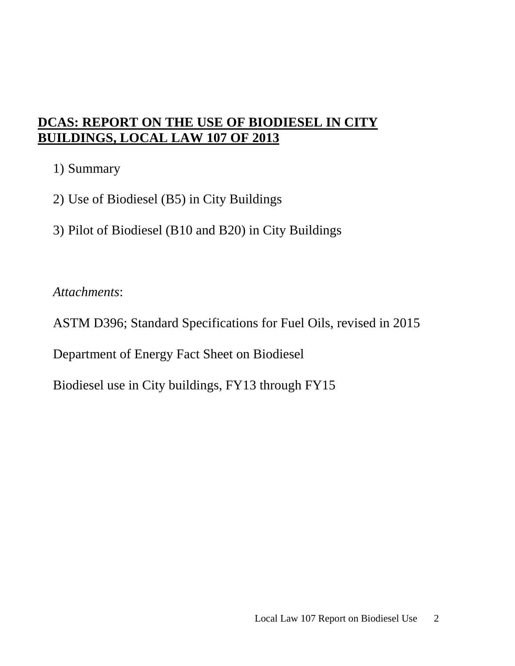# **DCAS: REPORT ON THE USE OF BIODIESEL IN CITY BUILDINGS, LOCAL LAW 107 OF 2013**

1) Summary

- 2) Use of Biodiesel (B5) in City Buildings
- 3) Pilot of Biodiesel (B10 and B20) in City Buildings

*Attachments*:

ASTM D396; Standard Specifications for Fuel Oils, revised in 2015

Department of Energy Fact Sheet on Biodiesel

Biodiesel use in City buildings, FY13 through FY15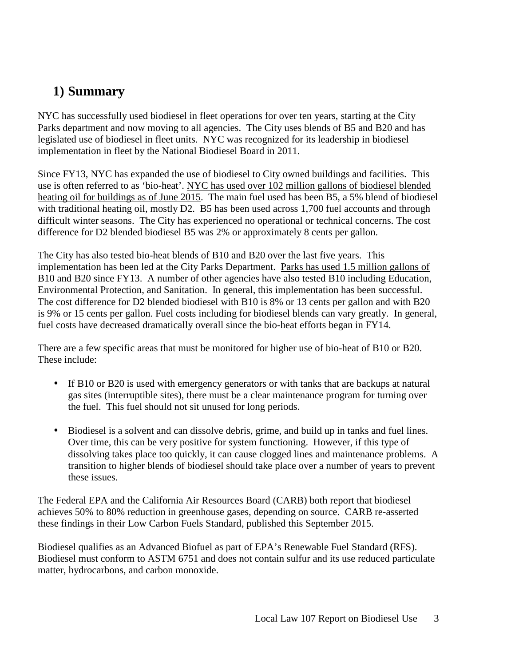# **1) Summary**

NYC has successfully used biodiesel in fleet operations for over ten years, starting at the City Parks department and now moving to all agencies. The City uses blends of B5 and B20 and has legislated use of biodiesel in fleet units. NYC was recognized for its leadership in biodiesel implementation in fleet by the National Biodiesel Board in 2011.

Since FY13, NYC has expanded the use of biodiesel to City owned buildings and facilities. This use is often referred to as 'bio-heat'. NYC has used over 102 million gallons of biodiesel blended heating oil for buildings as of June 2015. The main fuel used has been B5, a 5% blend of biodiesel with traditional heating oil, mostly D2. B5 has been used across 1,700 fuel accounts and through difficult winter seasons. The City has experienced no operational or technical concerns. The cost difference for D2 blended biodiesel B5 was 2% or approximately 8 cents per gallon.

The City has also tested bio-heat blends of B10 and B20 over the last five years. This implementation has been led at the City Parks Department. Parks has used 1.5 million gallons of B10 and B20 since FY13. A number of other agencies have also tested B10 including Education, Environmental Protection, and Sanitation. In general, this implementation has been successful. The cost difference for D2 blended biodiesel with B10 is 8% or 13 cents per gallon and with B20 is 9% or 15 cents per gallon. Fuel costs including for biodiesel blends can vary greatly. In general, fuel costs have decreased dramatically overall since the bio-heat efforts began in FY14.

There are a few specific areas that must be monitored for higher use of bio-heat of B10 or B20. These include:

- If B10 or B20 is used with emergency generators or with tanks that are backups at natural gas sites (interruptible sites), there must be a clear maintenance program for turning over the fuel. This fuel should not sit unused for long periods.
- Biodiesel is a solvent and can dissolve debris, grime, and build up in tanks and fuel lines. Over time, this can be very positive for system functioning. However, if this type of dissolving takes place too quickly, it can cause clogged lines and maintenance problems. A transition to higher blends of biodiesel should take place over a number of years to prevent these issues.

The Federal EPA and the California Air Resources Board (CARB) both report that biodiesel achieves 50% to 80% reduction in greenhouse gases, depending on source. CARB re-asserted these findings in their Low Carbon Fuels Standard, published this September 2015.

Biodiesel qualifies as an Advanced Biofuel as part of EPA's Renewable Fuel Standard (RFS). Biodiesel must conform to ASTM 6751 and does not contain sulfur and its use reduced particulate matter, hydrocarbons, and carbon monoxide.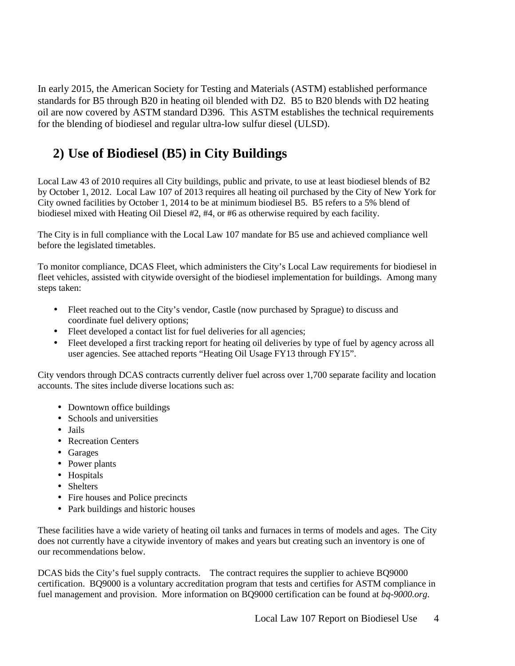In early 2015, the American Society for Testing and Materials (ASTM) established performance standards for B5 through B20 in heating oil blended with D2. B5 to B20 blends with D2 heating oil are now covered by ASTM standard D396. This ASTM establishes the technical requirements for the blending of biodiesel and regular ultra-low sulfur diesel (ULSD).

# **2) Use of Biodiesel (B5) in City Buildings**

Local Law 43 of 2010 requires all City buildings, public and private, to use at least biodiesel blends of B2 by October 1, 2012. Local Law 107 of 2013 requires all heating oil purchased by the City of New York for City owned facilities by October 1, 2014 to be at minimum biodiesel B5. B5 refers to a 5% blend of biodiesel mixed with Heating Oil Diesel #2, #4, or #6 as otherwise required by each facility.

The City is in full compliance with the Local Law 107 mandate for B5 use and achieved compliance well before the legislated timetables.

To monitor compliance, DCAS Fleet, which administers the City's Local Law requirements for biodiesel in fleet vehicles, assisted with citywide oversight of the biodiesel implementation for buildings. Among many steps taken:

- Fleet reached out to the City's vendor, Castle (now purchased by Sprague) to discuss and coordinate fuel delivery options;
- Fleet developed a contact list for fuel deliveries for all agencies;
- Fleet developed a first tracking report for heating oil deliveries by type of fuel by agency across all user agencies. See attached reports "Heating Oil Usage FY13 through FY15".

City vendors through DCAS contracts currently deliver fuel across over 1,700 separate facility and location accounts. The sites include diverse locations such as:

- Downtown office buildings
- Schools and universities
- Jails
- Recreation Centers
- Garages
- Power plants
- Hospitals
- Shelters
- Fire houses and Police precincts
- Park buildings and historic houses

These facilities have a wide variety of heating oil tanks and furnaces in terms of models and ages. The City does not currently have a citywide inventory of makes and years but creating such an inventory is one of our recommendations below.

DCAS bids the City's fuel supply contracts. The contract requires the supplier to achieve BQ9000 certification. BQ9000 is a voluntary accreditation program that tests and certifies for ASTM compliance in fuel management and provision. More information on BQ9000 certification can be found at *bq-9000.org*.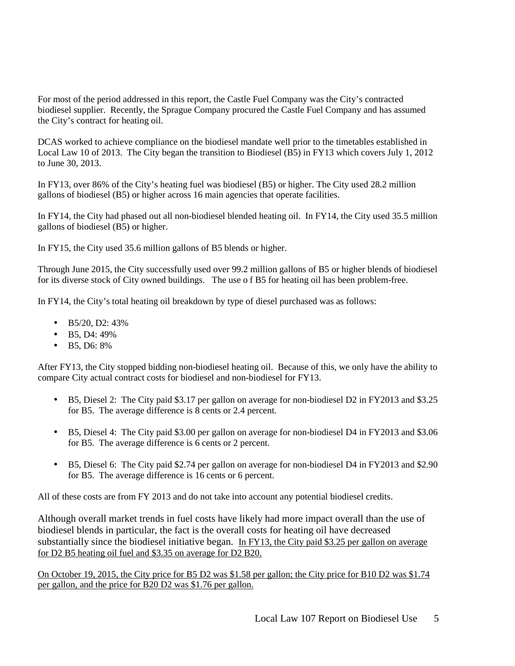For most of the period addressed in this report, the Castle Fuel Company was the City's contracted biodiesel supplier. Recently, the Sprague Company procured the Castle Fuel Company and has assumed the City's contract for heating oil.

DCAS worked to achieve compliance on the biodiesel mandate well prior to the timetables established in Local Law 10 of 2013. The City began the transition to Biodiesel (B5) in FY13 which covers July 1, 2012 to June 30, 2013.

In FY13, over 86% of the City's heating fuel was biodiesel (B5) or higher. The City used 28.2 million gallons of biodiesel (B5) or higher across 16 main agencies that operate facilities.

In FY14, the City had phased out all non-biodiesel blended heating oil. In FY14, the City used 35.5 million gallons of biodiesel (B5) or higher.

In FY15, the City used 35.6 million gallons of B5 blends or higher.

Through June 2015, the City successfully used over 99.2 million gallons of B5 or higher blends of biodiesel for its diverse stock of City owned buildings. The use o f B5 for heating oil has been problem-free.

In FY14, the City's total heating oil breakdown by type of diesel purchased was as follows:

- B5/20, D2: 43%
- $\bullet$  B5, D4: 49%
- B5, D6: 8%

After FY13, the City stopped bidding non-biodiesel heating oil. Because of this, we only have the ability to compare City actual contract costs for biodiesel and non-biodiesel for FY13.

- B5, Diesel 2: The City paid \$3.17 per gallon on average for non-biodiesel D2 in FY2013 and \$3.25 for B5. The average difference is 8 cents or 2.4 percent.
- B5, Diesel 4: The City paid \$3.00 per gallon on average for non-biodiesel D4 in FY2013 and \$3.06 for B5. The average difference is 6 cents or 2 percent.
- B5, Diesel 6: The City paid \$2.74 per gallon on average for non-biodiesel D4 in FY2013 and \$2.90 for B5. The average difference is 16 cents or 6 percent.

All of these costs are from FY 2013 and do not take into account any potential biodiesel credits.

Although overall market trends in fuel costs have likely had more impact overall than the use of biodiesel blends in particular, the fact is the overall costs for heating oil have decreased substantially since the biodiesel initiative began. In FY13, the City paid \$3.25 per gallon on average for D2 B5 heating oil fuel and \$3.35 on average for D2 B20.

On October 19, 2015, the City price for B5 D2 was \$1.58 per gallon; the City price for B10 D2 was \$1.74 per gallon, and the price for B20 D2 was \$1.76 per gallon.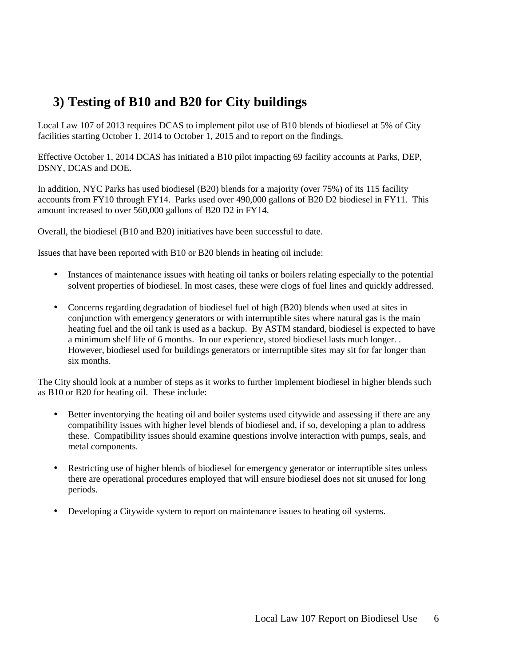# **3) Testing of B10 and B20 for City buildings**

Local Law 107 of 2013 requires DCAS to implement pilot use of B10 blends of biodiesel at 5% of City facilities starting October 1, 2014 to October 1, 2015 and to report on the findings.

Effective October 1, 2014 DCAS has initiated a B10 pilot impacting 69 facility accounts at Parks, DEP, DSNY, DCAS and DOE.

In addition, NYC Parks has used biodiesel (B20) blends for a majority (over 75%) of its 115 facility accounts from FY10 through FY14. Parks used over 490,000 gallons of B20 D2 biodiesel in FY11. This amount increased to over 560,000 gallons of B20 D2 in FY14.

Overall, the biodiesel (B10 and B20) initiatives have been successful to date.

Issues that have been reported with B10 or B20 blends in heating oil include:

- Instances of maintenance issues with heating oil tanks or boilers relating especially to the potential solvent properties of biodiesel. In most cases, these were clogs of fuel lines and quickly addressed.
- Concerns regarding degradation of biodiesel fuel of high (B20) blends when used at sites in conjunction with emergency generators or with interruptible sites where natural gas is the main heating fuel and the oil tank is used as a backup. By ASTM standard, biodiesel is expected to have a minimum shelf life of 6 months. In our experience, stored biodiesel lasts much longer. . However, biodiesel used for buildings generators or interruptible sites may sit for far longer than six months.

The City should look at a number of steps as it works to further implement biodiesel in higher blends such as B10 or B20 for heating oil. These include:

- Better inventorying the heating oil and boiler systems used citywide and assessing if there are any compatibility issues with higher level blends of biodiesel and, if so, developing a plan to address these. Compatibility issues should examine questions involve interaction with pumps, seals, and metal components.
- Restricting use of higher blends of biodiesel for emergency generator or interruptible sites unless there are operational procedures employed that will ensure biodiesel does not sit unused for long periods.
- Developing a Citywide system to report on maintenance issues to heating oil systems.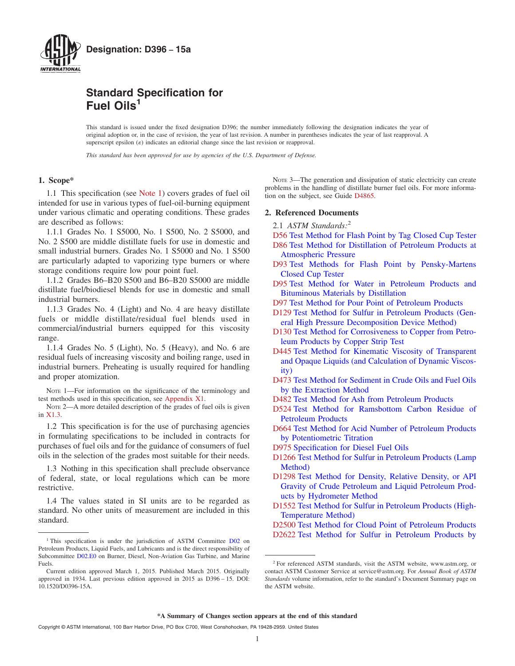

## **Standard Specification for Fuel Oils<sup>1</sup>**

This standard is issued under the fixed designation D396; the number immediately following the designation indicates the year of original adoption or, in the case of revision, the year of last revision. A number in parentheses indicates the year of last reapproval. A superscript epsilon  $(e)$  indicates an editorial change since the last revision or reapproval.

*This standard has been approved for use by agencies of the U.S. Department of Defense.*

#### **1. Scope\***

1.1 This specification (see Note 1) covers grades of fuel oil intended for use in various types of fuel-oil-burning equipment under various climatic and operating conditions. These grades are described as follows:

1.1.1 Grades No. 1 S5000, No. 1 S500, No. 2 S5000, and No. 2 S500 are middle distillate fuels for use in domestic and small industrial burners. Grades No. 1 S5000 and No. 1 S500 are particularly adapted to vaporizing type burners or where storage conditions require low pour point fuel.

1.1.2 Grades B6–B20 S500 and B6–B20 S5000 are middle distillate fuel/biodiesel blends for use in domestic and small industrial burners.

1.1.3 Grades No. 4 (Light) and No. 4 are heavy distillate fuels or middle distillate/residual fuel blends used in commercial/industrial burners equipped for this viscosity range.

1.1.4 Grades No. 5 (Light), No. 5 (Heavy), and No. 6 are residual fuels of increasing viscosity and boiling range, used in industrial burners. Preheating is usually required for handling and proper atomization.

Note 1—For information on the significance of the terminology and test methods used in this specification, see Appendix X1.

NOTE 2-A more detailed description of the grades of fuel oils is given in X1.3.

1.2 This specification is for the use of purchasing agencies in formulating specifications to be included in contracts for purchases of fuel oils and for the guidance of consumers of fuel oils in the selection of the grades most suitable for their needs.

1.3 Nothing in this specification shall preclude observance of federal, state, or local regulations which can be more restrictive.

1.4 The values stated in SI units are to be regarded as standard. No other units of measurement are included in this standard.

NOTE 3—The generation and dissipation of static electricity can create problems in the handling of distillate burner fuel oils. For more information on the subject, see Guide D4865.

#### **2. Referenced Documents**

2.1 *ASTM Standards:*<sup>2</sup>

- D56 Test Method for Flash Point by Tag Closed Cup Tester
- D86 Test Method for Distillation of Petroleum Products at Atmospheric Pressure
- D93 Test Methods for Flash Point by Pensky-Martens Closed Cup Tester
- D95 Test Method for Water in Petroleum Products and Bituminous Materials by Distillation
- D97 Test Method for Pour Point of Petroleum Products
- D129 Test Method for Sulfur in Petroleum Products (General High Pressure Decomposition Device Method)
- D130 Test Method for Corrosiveness to Copper from Petroleum Products by Copper Strip Test
- D445 Test Method for Kinematic Viscosity of Transparent and Opaque Liquids (and Calculation of Dynamic Viscosity)
- D473 Test Method for Sediment in Crude Oils and Fuel Oils by the Extraction Method
- D482 Test Method for Ash from Petroleum Products
- D524 Test Method for Ramsbottom Carbon Residue of Petroleum Products
- D664 Test Method for Acid Number of Petroleum Products by Potentiometric Titration
- D975 Specification for Diesel Fuel Oils
- D1266 Test Method for Sulfur in Petroleum Products (Lamp Method)
- D1298 Test Method for Density, Relative Density, or API Gravity of Crude Petroleum and Liquid Petroleum Products by Hydrometer Method
- D1552 Test Method for Sulfur in Petroleum Products (High-Temperature Method)
- D2500 Test Method for Cloud Point of Petroleum Products D2622 Test Method for Sulfur in Petroleum Products by

<sup>&</sup>lt;sup>1</sup> This specification is under the jurisdiction of ASTM Committee D02 on Petroleum Products, Liquid Fuels, and Lubricants and is the direct responsibility of Subcommittee D02.E0 on Burner, Diesel, Non-Aviation Gas Turbine, and Marine Fuels.

Current edition approved March 1, 2015. Published March 2015. Originally approved in 1934. Last previous edition approved in 2015 as D396 – 15. DOI: 10.1520/D0396-15A.

<sup>2</sup> For referenced ASTM standards, visit the ASTM website, www.astm.org, or contact ASTM Customer Service at service@astm.org. For *Annual Book of ASTM Standards* volume information, refer to the standard's Document Summary page on the ASTM website.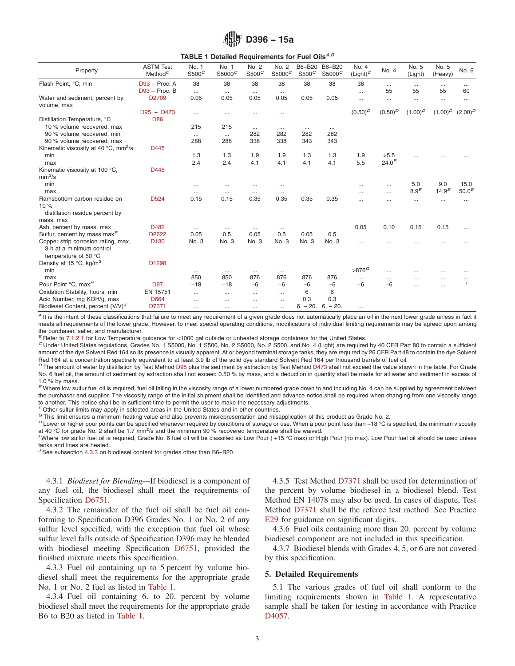|  | 4 D396 - 15a |  |  |
|--|--------------|--|--|
|--|--------------|--|--|

|                                                                                         |                                |                   | TABLE 1 Detailed Requirements for Fuel Oils <sup>A,B</sup> |                   |                             |                    |                              |                      |            |                  |                  |                   |
|-----------------------------------------------------------------------------------------|--------------------------------|-------------------|------------------------------------------------------------|-------------------|-----------------------------|--------------------|------------------------------|----------------------|------------|------------------|------------------|-------------------|
| Property                                                                                | <b>ASTM Test</b><br>Method $C$ | No. 1<br>$S500^C$ | No. 1<br>S5000 <sup>C</sup>                                | No. 2<br>$S500^C$ | No. 2<br>S5000 <sup>C</sup> | B6-B20<br>$S500^C$ | B6-B20<br>S5000 <sup>C</sup> | No. 4<br>$(Light)^C$ | No. 4      | No. 5<br>(Light) | No. 5<br>(Heavy) | No. 6             |
| Flash Point, °C, min                                                                    | $D93 - Proc. A$                | 38                | 38                                                         | 38                | 38                          | 38                 | 38                           | 38                   | $\cdots$   | $\cdots$         | $\cdots$         | $\cdots$          |
|                                                                                         | $D93 - Proc. B$                | $\cdots$          | $\cdots$                                                   | $\cdots$          | $\cdots$                    |                    |                              | $\cdots$             | 55         | 55               | 55               | 60                |
| Water and sediment, percent by<br>volume, max                                           | D2709                          | 0.05              | 0.05                                                       | 0.05              | 0.05                        | 0.05               | 0.05                         | $\cdots$             | $\cdots$   | $\cdots$         | $\cdots$         | $\cdots$          |
|                                                                                         | $D95 + D473$                   | $\cdots$          | $\cdots$                                                   |                   | $\ddotsc$                   |                    |                              | $(0.50)^D$           | $(0.50)^D$ | $(1.00)^D$       | $(1.00)^D$       | $(2.00)^D$        |
| Distillation Temperature, °C                                                            | <b>D86</b>                     |                   |                                                            |                   |                             |                    |                              |                      |            |                  |                  |                   |
| 10 % volume recovered, max                                                              |                                | 215               | 215                                                        | $\cdots$          | $\cdots$                    | $\cdots$           | $\cdots$                     |                      |            |                  |                  |                   |
| 90 % volume recovered, min                                                              |                                | $\cdots$          | $\cdots$                                                   | 282               | 282                         | 282                | 282                          |                      |            |                  |                  |                   |
| 90 % volume recovered, max                                                              |                                | 288               | 288                                                        | 338               | 338                         | 343                | 343                          |                      |            |                  |                  |                   |
| Kinematic viscosity at 40 $^{\circ}$ C, mm <sup>2</sup> /s                              | D445                           |                   |                                                            |                   |                             |                    |                              |                      |            |                  |                  |                   |
| min                                                                                     |                                | 1.3               | 1.3                                                        | 1.9               | 1.9                         | 1.3                | 1.3                          | 1.9                  | >5.5       |                  |                  |                   |
| max                                                                                     |                                | 2.4               | 2.4                                                        | 4.1               | 4.1                         | 4.1                | 4.1                          | 5.5                  | $24.0^{E}$ |                  |                  |                   |
| Kinematic viscosity at 100 °C,<br>mm <sup>2</sup> /s                                    | D445                           |                   |                                                            |                   |                             |                    |                              |                      |            |                  |                  |                   |
| min                                                                                     |                                | $\cdots$          |                                                            | $\cdots$          |                             |                    |                              |                      | $\cdots$   | 5.0              | 9.0              | 15.0              |
| max                                                                                     |                                | $\cdots$          | $\cdots$                                                   | $\cdots$          | $\cdots$                    |                    |                              |                      | $\cdots$   | 8.9 <sup>E</sup> | $14.9^{E}$       | 50.0 <sup>E</sup> |
| Ramsbottom carbon residue on<br>10%<br>distillation residue percent by                  | D524                           | 0.15              | 0.15                                                       | 0.35              | 0.35                        | 0.35               | 0.35                         | $\cdots$             | $\cdots$   | $\cdots$         | $\cdots$         | $\cdots$          |
| mass, max                                                                               |                                |                   |                                                            |                   |                             |                    |                              |                      |            |                  |                  |                   |
| Ash, percent by mass, max                                                               | D482                           | $\cdots$          | $\cdots$                                                   | $\cdots$          | $\cdots$                    |                    |                              | 0.05                 | 0.10       | 0.15             | 0.15             | $\cdots$          |
| Sulfur, percent by mass max $\sqrt{ }$                                                  | D2622                          | 0.05              | 0.5                                                        | 0.05              | 0.5                         | 0.05               | 0.5                          |                      |            |                  |                  |                   |
| Copper strip corrosion rating, max,<br>3 h at a minimum control<br>temperature of 50 °C | D <sub>130</sub>               | No. 3             | No. 3                                                      | No. 3             | No. 3                       | No. 3              | No. 3                        | $\cdots$             | $\cdots$   | $\cdots$         |                  |                   |
| Density at 15 °C, kg/m <sup>3</sup>                                                     | D1298                          |                   |                                                            |                   |                             |                    |                              |                      |            |                  |                  |                   |
| min                                                                                     |                                | $\cdots$          | $\cdots$                                                   | $\cdots$          | $\cdots$                    |                    |                              | $>876^G$             | .          |                  | $\cdots$         |                   |
| max                                                                                     |                                | 850               | 850                                                        | 876               | 876                         | 876                | 876                          | $\cdots$             | $\cdots$   | $\cdots$         | $\cdots$         | $\cdots$          |
| Pour Point °C, max <sup>H</sup>                                                         | D97                            | $-18$             | $-18$                                                      | $-6$              | $-6$                        | $-6$               | $-6$                         | $-6$                 | $-6$       | $\ddotsc$        | $\cdots$         |                   |
| Oxidation Stability, hours, min                                                         | EN 15751                       | $\cdots$          |                                                            | $\cdots$          | $\cdots$                    | 6                  | 6                            |                      |            |                  |                  |                   |
| Acid Number, mg KOH/g, max                                                              | D664                           | $\cdots$          | $\cdots$                                                   | $\cdots$          |                             | 0.3                | 0.3                          |                      |            |                  |                  |                   |
| Biodiesel Content, percent (V/V) <sup>J</sup>                                           | D7371                          | $\cdots$          | $\cdots$                                                   | $\cdots$          |                             | $6. - 20.$         | $6. - 20.$                   | $\cdots$             |            |                  |                  |                   |

#### A It is the intent of these classifications that failure to meet any requirement of a given grade does not automatically place an oil in the next lower grade unless in fact it meets all requirements of the lower grade. However, to meet special operating conditions, modifications of individual limiting requirements may be agreed upon among the purchaser, seller, and manufacturer.

*<sup>B</sup>* Refer to 7.1.2.1 for Low Temperature guidance for <1000 gal outside or unheated storage containers for the United States.

*<sup>C</sup>* Under United States regulations, Grades No. 1 S5000, No. 1 S500, No. 2 S5000, No. 2 S500, and No. 4 (Light) are required by 40 CFR Part 80 to contain a sufficient amount of the dye Solvent Red 164 so its presence is visually apparent. At or beyond terminal storage tanks, they are required by 26 CFR Part 48 to contain the dye Solvent Red 164 at a concentration spectrally equivalent to at least 3.9 lb of the solid dye standard Solvent Red 164 per thousand barrels of fuel oil.

*<sup>D</sup>* The amount of water by distillation by Test Method D95 plus the sediment by extraction by Test Method D473 shall not exceed the value shown in the table. For Grade No. 6 fuel oil, the amount of sediment by extraction shall not exceed 0.50 % by mass, and a deduction in quantity shall be made for all water and sediment in excess of 1.0 % by mass.

*<sup>E</sup>* Where low sulfur fuel oil is required, fuel oil falling in the viscosity range of a lower numbered grade down to and including No. 4 can be supplied by agreement between the purchaser and supplier. The viscosity range of the initial shipment shall be identified and advance notice shall be required when changing from one viscosity range to another. This notice shall be in sufficient time to permit the user to make the necessary adjustments.

*<sup>F</sup>* Other sulfur limits may apply in selected areas in the United States and in other countries.

*<sup>G</sup>* This limit ensures a minimum heating value and also prevents misrepresentation and misapplication of this product as Grade No. 2.

H Lower or higher pour points can be specified whenever required by conditions of storage or use. When a pour point less than −18 °C is specified, the minimum viscosity at 40 °C for grade No. 2 shall be 1.7 mm<sup>2</sup>/s and the minimum 90 % recovered temperature shall be waived.

<sup>I</sup> Where low sulfur fuel oil is required, Grade No. 6 fuel oil will be classified as Low Pour (+15 °C max) or High Pour (no max). Low Pour fuel oil should be used unless tanks and lines are heated.

*<sup>J</sup>* See subsection 4.3.3 on biodiesel content for grades other than B6–B20.

4.3.1 *Biodiesel for Blending—*If biodiesel is a component of any fuel oil, the biodiesel shall meet the requirements of Specification D6751.

4.3.2 The remainder of the fuel oil shall be fuel oil conforming to Specification D396 Grades No. 1 or No. 2 of any sulfur level specified, with the exception that fuel oil whose sulfur level falls outside of Specification D396 may be blended with biodiesel meeting Specification D6751, provided the finished mixture meets this specification.

4.3.3 Fuel oil containing up to 5 percent by volume biodiesel shall meet the requirements for the appropriate grade No. 1 or No. 2 fuel as listed in Table 1.

4.3.4 Fuel oil containing 6. to 20. percent by volume biodiesel shall meet the requirements for the appropriate grade B6 to B20 as listed in Table 1.

4.3.5 Test Method D7371 shall be used for determination of the percent by volume biodiesel in a biodiesel blend. Test Method EN 14078 may also be used. In cases of dispute, Test Method D7371 shall be the referee test method. See Practice E29 for guidance on significant digits.

4.3.6 Fuel oils containing more than 20. percent by volume biodiesel component are not included in this specification.

4.3.7 Biodiesel blends with Grades 4, 5, or 6 are not covered by this specification.

#### **5. Detailed Requirements**

5.1 The various grades of fuel oil shall conform to the limiting requirements shown in Table 1. A representative sample shall be taken for testing in accordance with Practice D<sub>4057</sub>.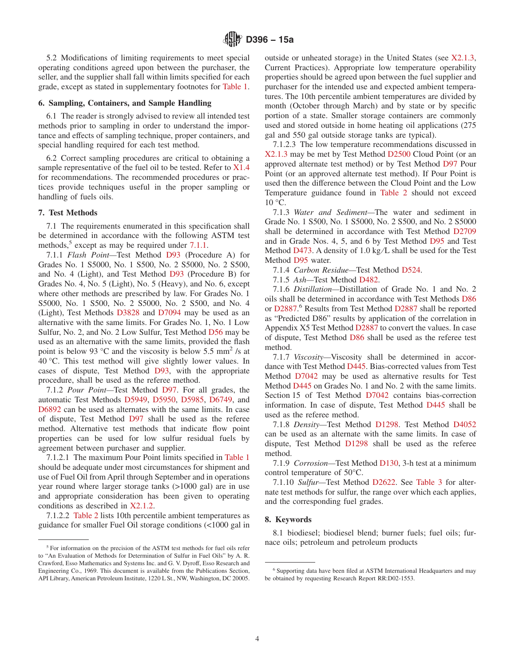5.2 Modifications of limiting requirements to meet special operating conditions agreed upon between the purchaser, the seller, and the supplier shall fall within limits specified for each grade, except as stated in supplementary footnotes for Table 1.

#### **6. Sampling, Containers, and Sample Handling**

6.1 The reader is strongly advised to review all intended test methods prior to sampling in order to understand the importance and effects of sampling technique, proper containers, and special handling required for each test method.

6.2 Correct sampling procedures are critical to obtaining a sample representative of the fuel oil to be tested. Refer to X1.4 for recommendations. The recommended procedures or practices provide techniques useful in the proper sampling or handling of fuels oils.

#### **7. Test Methods**

7.1 The requirements enumerated in this specification shall be determined in accordance with the following ASTM test methods,<sup>5</sup> except as may be required under 7.1.1.

7.1.1 *Flash Point—*Test Method D93 (Procedure A) for Grades No. 1 S5000, No. 1 S500, No. 2 S5000, No. 2 S500, and No. 4 (Light), and Test Method D93 (Procedure B) for Grades No. 4, No. 5 (Light), No. 5 (Heavy), and No. 6, except where other methods are prescribed by law. For Grades No. 1 S5000, No. 1 S500, No. 2 S5000, No. 2 S500, and No. 4 (Light), Test Methods D3828 and D7094 may be used as an alternative with the same limits. For Grades No. 1, No. 1 Low Sulfur, No. 2, and No. 2 Low Sulfur, Test Method D56 may be used as an alternative with the same limits, provided the flash point is below 93 °C and the viscosity is below 5.5 mm<sup>2</sup> /s at 40 °C. This test method will give slightly lower values. In cases of dispute, Test Method D93, with the appropriate procedure, shall be used as the referee method.

7.1.2 *Pour Point—*Test Method D97. For all grades, the automatic Test Methods D5949, D5950, D5985, D6749, and D6892 can be used as alternates with the same limits. In case of dispute, Test Method D97 shall be used as the referee method. Alternative test methods that indicate flow point properties can be used for low sulfur residual fuels by agreement between purchaser and supplier.

7.1.2.1 The maximum Pour Point limits specified in Table 1 should be adequate under most circumstances for shipment and use of Fuel Oil from April through September and in operations year round where larger storage tanks (>1000 gal) are in use and appropriate consideration has been given to operating conditions as described in X2.1.2.

7.1.2.2 Table 2 lists 10th percentile ambient temperatures as guidance for smaller Fuel Oil storage conditions (<1000 gal in outside or unheated storage) in the United States (see X2.1.3, Current Practices). Appropriate low temperature operability properties should be agreed upon between the fuel supplier and purchaser for the intended use and expected ambient temperatures. The 10th percentile ambient temperatures are divided by month (October through March) and by state or by specific portion of a state. Smaller storage containers are commonly used and stored outside in home heating oil applications (275 gal and 550 gal outside storage tanks are typical).

7.1.2.3 The low temperature recommendations discussed in X2.1.3 may be met by Test Method D2500 Cloud Point (or an approved alternate test method) or by Test Method D97 Pour Point (or an approved alternate test method). If Pour Point is used then the difference between the Cloud Point and the Low Temperature guidance found in Table 2 should not exceed  $10 \degree C$ .

7.1.3 *Water and Sediment—*The water and sediment in Grade No. 1 S500, No. 1 S5000, No. 2 S500, and No. 2 S5000 shall be determined in accordance with Test Method D2709 and in Grade Nos. 4, 5, and 6 by Test Method D95 and Test Method D473. A density of 1.0 kg/L shall be used for the Test Method D95 water.

7.1.4 *Carbon Residue—*Test Method D524.

7.1.5 *Ash—*Test Method D482.

7.1.6 *Distillation—*Distillation of Grade No. 1 and No. 2 oils shall be determined in accordance with Test Methods D86 or D2887. <sup>6</sup> Results from Test Method D2887 shall be reported as "Predicted D86" results by application of the correlation in Appendix X5 Test Method D2887 to convert the values. In case of dispute, Test Method D86 shall be used as the referee test method.

7.1.7 *Viscosity—*Viscosity shall be determined in accordance with Test Method D445. Bias-corrected values from Test Method D7042 may be used as alternative results for Test Method D445 on Grades No. 1 and No. 2 with the same limits. Section 15 of Test Method D7042 contains bias-correction information. In case of dispute, Test Method D445 shall be used as the referee method.

7.1.8 *Density—*Test Method D1298. Test Method D4052 can be used as an alternate with the same limits. In case of dispute, Test Method D1298 shall be used as the referee method.

7.1.9 *Corrosion—*Test Method D130, 3-h test at a minimum control temperature of 50°C.

7.1.10 *Sulfur—*Test Method D2622. See Table 3 for alternate test methods for sulfur, the range over which each applies, and the corresponding fuel grades.

#### **8. Keywords**

8.1 biodiesel; biodiesel blend; burner fuels; fuel oils; furnace oils; petroleum and petroleum products

<sup>&</sup>lt;sup>5</sup> For information on the precision of the ASTM test methods for fuel oils refer to "An Evaluation of Methods for Determination of Sulfur in Fuel Oils" by A. R. Crawford, Esso Mathematics and Systems Inc. and G. V. Dyroff, Esso Research and Engineering Co., 1969. This document is available from the Publications Section, API Library, American Petroleum Institute, 1220 L St., NW, Washington, DC 20005.

<sup>&</sup>lt;sup>6</sup> Supporting data have been filed at ASTM International Headquarters and may be obtained by requesting Research Report RR:D02-1553.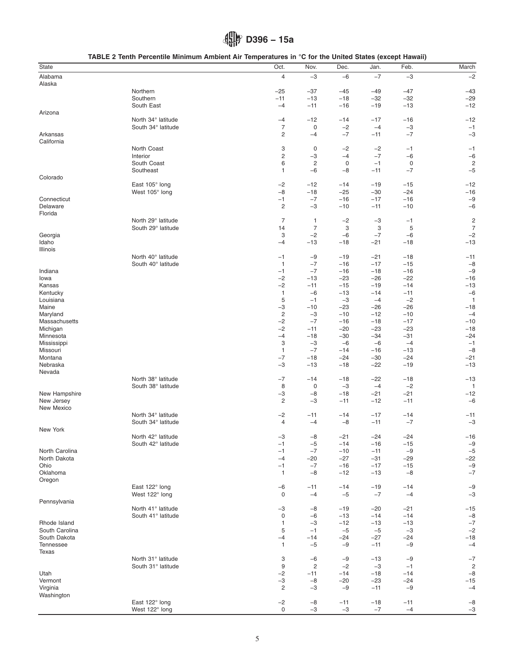# **D396 − 15a**

|  | TABLE 2 Tenth Percentile Minimum Ambient Air Temperatures in °C for the United States (except Hawaii) |
|--|-------------------------------------------------------------------------------------------------------|
|--|-------------------------------------------------------------------------------------------------------|

| State          |                    | Oct.                    | Nov.           | Dec.  | Jan.  | Feb.  | March                   |
|----------------|--------------------|-------------------------|----------------|-------|-------|-------|-------------------------|
| Alabama        |                    | $\overline{4}$          | $-3$           | $-6$  | $-7$  | $-3$  | $-2$                    |
| Alaska         |                    |                         |                |       |       |       |                         |
|                | Northern           |                         |                |       |       |       |                         |
|                |                    | $-25$                   | $-37$          | $-45$ | -49   | $-47$ | $-43$                   |
|                | Southern           | $-11$                   | $-13$          | $-18$ | $-32$ | $-32$ | $-29$                   |
|                | South East         | $-4$                    | $-11$          | $-16$ | $-19$ | $-13$ | $-12$                   |
| Arizona        |                    |                         |                |       |       |       |                         |
|                | North 34° latitude | $-4$                    | $-12$          | -14   | $-17$ | $-16$ | $-12$                   |
|                | South 34° latitude | $\overline{7}$          | $\mathbf 0$    | $-2$  | $-4$  | $-3$  | $-1$                    |
| Arkansas       |                    | $\overline{c}$          | $-4$           | $-7$  | $-11$ | $-7$  | $-3$                    |
| California     |                    |                         |                |       |       |       |                         |
|                | North Coast        | 3                       | 0              | $-2$  | $-2$  | $-1$  | $-1$                    |
|                | Interior           | $\overline{\mathbf{c}}$ | $-3$           | $-4$  | $-7$  | $-6$  | $-6$                    |
|                | South Coast        | 6                       | $\overline{c}$ | 0     | $-1$  | 0     | 2                       |
|                | Southeast          | 1                       | $-6$           | $-8$  | $-11$ | $-7$  | $-5$                    |
| Colorado       |                    |                         |                |       |       |       |                         |
|                | East 105° long     | $-2$                    | $-12$          | $-14$ | $-19$ | $-15$ | $-12$                   |
|                | West 105° long     | $-8$                    | $-18$          | $-25$ | $-30$ | $-24$ | $-16$                   |
| Connecticut    |                    | $-1$                    | $-7$           | $-16$ | $-17$ | $-16$ | $-9$                    |
| Delaware       |                    | $\overline{c}$          | $-3$           | $-10$ | $-11$ | $-10$ | $-6$                    |
| Florida        |                    |                         |                |       |       |       |                         |
|                | North 29° latitude | $\overline{7}$          | $\mathbf{1}$   | $-2$  | $-3$  | $-1$  | $\overline{\mathbf{c}}$ |
|                | South 29° latitude | 14                      | $\overline{7}$ | 3     | 3     | 5     | $\overline{7}$          |
|                |                    | 3                       | $-2$           | $-6$  | $-7$  | $-6$  | $-2$                    |
| Georgia        |                    |                         |                |       |       |       |                         |
| Idaho          |                    | $-4$                    | $-13$          | $-18$ | $-21$ | $-18$ | $-13$                   |
| Illinois       |                    |                         |                |       |       |       |                         |
|                | North 40° latitude | $-1$                    | $-9$           | $-19$ | $-21$ | $-18$ | $-11$                   |
|                | South 40° latitude | $\mathbf{1}$            | $-7$           | $-16$ | $-17$ | $-15$ | $-8$                    |
| Indiana        |                    | $-1$                    | $-7$           | $-16$ | $-18$ | $-16$ | $-9$                    |
| lowa           |                    | $-2$                    | $-13$          | -23   | $-26$ | $-22$ | $-16$                   |
| Kansas         |                    | $-2$                    | $-11$          | $-15$ | $-19$ | $-14$ | $-13$                   |
| Kentucky       |                    | $\mathbf{1}$            | $-6$           | $-13$ | $-14$ | $-11$ | $-6$                    |
| Louisiana      |                    | 5                       | $-1$           | $-3$  | $-4$  | $-2$  | 1                       |
| Maine          |                    | $-3$                    | $-10$          | $-23$ | -26   | $-26$ | $-18$                   |
| Maryland       |                    | $\overline{c}$          | $-3$           | $-10$ | $-12$ | $-10$ | $-4$                    |
| Massachusetts  |                    | $-2$                    | $-7$           | $-16$ | $-18$ | $-17$ | $-10$                   |
| Michigan       |                    | $-2$                    | $-11$          | $-20$ | $-23$ | $-23$ | $-18$                   |
| Minnesota      |                    | $-4$                    | $-18$          | $-30$ | -34   | $-31$ | $-24$                   |
| Mississippi    |                    | 3                       | $-3$           | $-6$  | $-6$  | $-4$  | $-1$                    |
| Missouri       |                    | $\overline{1}$          | $-7$           | $-14$ | $-16$ | $-13$ | $-8$                    |
| Montana        |                    | $-7$                    | $-18$          | -24   | $-30$ | $-24$ | $-21$                   |
| Nebraska       |                    |                         | $-13$          |       |       |       |                         |
|                |                    | $-3$                    |                | $-18$ | $-22$ | $-19$ | $-13$                   |
| Nevada         |                    |                         |                |       |       |       |                         |
|                | North 38° latitude | $-7$                    | $-14$          | -18   | -22   | $-18$ | $-13$                   |
|                | South 38° latitude | 8                       | 0              | $-3$  | $-4$  | $-2$  | $\overline{1}$          |
| New Hampshire  |                    | $-3$                    | $-8$           | $-18$ | $-21$ | $-21$ | $-12$                   |
| New Jersey     |                    | $\overline{c}$          | $-3$           | $-11$ | $-12$ | $-11$ | $-6$                    |
| New Mexico     |                    |                         |                |       |       |       |                         |
|                | North 34° latitude | $-2$                    | $-11$          | -14   | $-17$ | $-14$ | $-11$                   |
|                | South 34° latitude | 4                       | $-4$           | $-8$  | $-11$ | $-7$  | $-3$                    |
| New York       |                    |                         |                |       |       |       |                         |
|                | North 42° latitude | -3                      | -8             | -21   | $-24$ | $-24$ | -16                     |
|                | South 42° latitude | $-1$                    | $-5$           | $-14$ | $-16$ | $-15$ | $-9$                    |
| North Carolina |                    | $-1$                    | $-7$           | $-10$ | $-11$ | $-9$  | $-5$                    |
| North Dakota   |                    | $-4$                    | $-20$          | $-27$ | $-31$ | $-29$ | $-22$                   |
| Ohio           |                    | $-1$                    | $-7$           | $-16$ | $-17$ | $-15$ | $-9$                    |
| Oklahoma       |                    | 1                       | $-8$           | $-12$ | $-13$ | $-8$  | $-7$                    |
| Oregon         |                    |                         |                |       |       |       |                         |
|                | East 122° long     | $-6$                    | $-11$          | $-14$ | $-19$ | $-14$ | $-9$                    |
|                | West 122° long     | 0                       | $-4$           | $-5$  | $-7$  | $-4$  | $-3$                    |
| Pennsylvania   |                    |                         |                |       |       |       |                         |
|                |                    |                         |                |       |       |       |                         |
|                | North 41° latitude | $-3$                    | $-8$           | $-19$ | $-20$ | $-21$ | $-15$                   |
|                | South 41° latitude | 0                       | $-6$           | $-13$ | $-14$ | $-14$ | $-8$                    |
| Rhode Island   |                    | $\mathbf{1}$            | $-3$           | $-12$ | $-13$ | $-13$ | $-7$                    |
| South Carolina |                    | 5                       | $-1$           | $-5$  | $-5$  | $-3$  | $-2$                    |
| South Dakota   |                    | $-4$                    | $-14$          | -24   | $-27$ | $-24$ | $-18$                   |
| Tennessee      |                    | $\mathbf{1}$            | $-5$           | $-9$  | $-11$ | $-9$  | $-4$                    |
| Texas          |                    |                         |                |       |       |       |                         |
|                | North 31° latitude | 3                       | $-6$           | $-9$  | $-13$ | $-9$  | $-7$                    |
|                | South 31° latitude | 9                       | $\overline{c}$ | $-2$  | $-3$  | $-1$  | $\overline{c}$          |
| Utah           |                    | $-2$                    | $-11$          | $-14$ | -18   | $-14$ | $-8$                    |
| Vermont        |                    | $-3$                    | $-8$           | $-20$ | $-23$ | $-24$ | $-15$                   |
| Virginia       |                    | 2                       | $-3$           | $-9$  | $-11$ | $-9$  | $-4$                    |
| Washington     |                    |                         |                |       |       |       |                         |
|                | East 122° long     | $-2$                    | $-8$           | $-11$ | $-18$ | $-11$ | $-8$                    |
|                | West 122° long     | 0                       | $-3$           | $-3$  | $-7$  | $-4$  | $-3$                    |
|                |                    |                         |                |       |       |       |                         |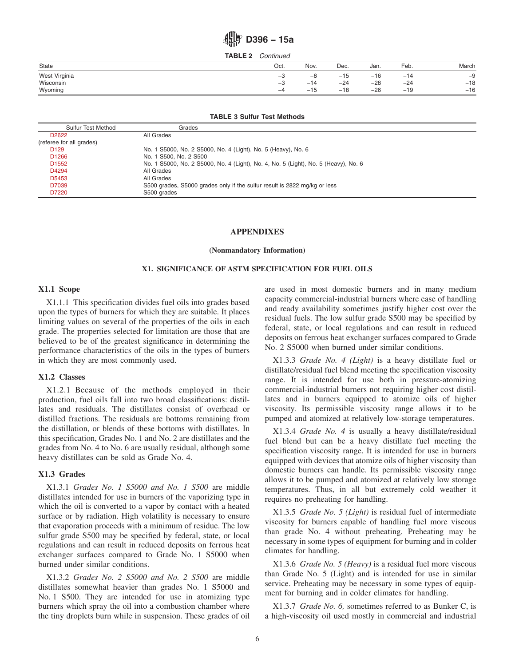# **D396 − 15a**

**TABLE 2** *Continued*

| State         | Oct.          | Nov.  | Dec.  | Jan.  | Feb.  | March |
|---------------|---------------|-------|-------|-------|-------|-------|
| West Virginia | $\rightarrow$ | -0    | $-15$ | $-16$ | $-14$ | $-9$  |
| Wisconsin     | –ა            | $-14$ | $-24$ | $-28$ | $-24$ | $-18$ |
| Wyoming       | $-\mu$        | $-15$ | $-18$ | $-26$ | $-19$ | $-16$ |

#### **TABLE 3 Sulfur Test Methods**

| <b>Sulfur Test Method</b> | Grades                                                                              |
|---------------------------|-------------------------------------------------------------------------------------|
| D <sub>2622</sub>         | All Grades                                                                          |
| (referee for all grades)  |                                                                                     |
| D <sub>129</sub>          | No. 1 S5000, No. 2 S5000, No. 4 (Light), No. 5 (Heavy), No. 6                       |
| D <sub>1266</sub>         | No. 1 S500, No. 2 S500                                                              |
| D <sub>1552</sub>         | No. 1 S5000, No. 2 S5000, No. 4 (Light), No. 4, No. 5 (Light), No. 5 (Heavy), No. 6 |
| D4294                     | All Grades                                                                          |
| D5453                     | All Grades                                                                          |
| D7039                     | S500 grades, S5000 grades only if the sulfur result is 2822 mg/kg or less           |
| D7220                     | S500 grades                                                                         |

#### **APPENDIXES**

**(Nonmandatory Information)**

#### **X1. SIGNIFICANCE OF ASTM SPECIFICATION FOR FUEL OILS**

#### **X1.1 Scope**

X1.1.1 This specification divides fuel oils into grades based upon the types of burners for which they are suitable. It places limiting values on several of the properties of the oils in each grade. The properties selected for limitation are those that are believed to be of the greatest significance in determining the performance characteristics of the oils in the types of burners in which they are most commonly used.

#### **X1.2 Classes**

X1.2.1 Because of the methods employed in their production, fuel oils fall into two broad classifications: distillates and residuals. The distillates consist of overhead or distilled fractions. The residuals are bottoms remaining from the distillation, or blends of these bottoms with distillates. In this specification, Grades No. 1 and No. 2 are distillates and the grades from No. 4 to No. 6 are usually residual, although some heavy distillates can be sold as Grade No. 4.

#### **X1.3 Grades**

X1.3.1 *Grades No. 1 S5000 and No. 1 S500* are middle distillates intended for use in burners of the vaporizing type in which the oil is converted to a vapor by contact with a heated surface or by radiation. High volatility is necessary to ensure that evaporation proceeds with a minimum of residue. The low sulfur grade S500 may be specified by federal, state, or local regulations and can result in reduced deposits on ferrous heat exchanger surfaces compared to Grade No. 1 S5000 when burned under similar conditions.

X1.3.2 *Grades No. 2 S5000 and No. 2 S500* are middle distillates somewhat heavier than grades No. 1 S5000 and No. 1 S500. They are intended for use in atomizing type burners which spray the oil into a combustion chamber where the tiny droplets burn while in suspension. These grades of oil are used in most domestic burners and in many medium capacity commercial-industrial burners where ease of handling and ready availability sometimes justify higher cost over the residual fuels. The low sulfur grade S500 may be specified by federal, state, or local regulations and can result in reduced deposits on ferrous heat exchanger surfaces compared to Grade No. 2 S5000 when burned under similar conditions.

X1.3.3 *Grade No. 4 (Light)* is a heavy distillate fuel or distillate/residual fuel blend meeting the specification viscosity range. It is intended for use both in pressure-atomizing commercial-industrial burners not requiring higher cost distillates and in burners equipped to atomize oils of higher viscosity. Its permissible viscosity range allows it to be pumped and atomized at relatively low-storage temperatures.

X1.3.4 *Grade No. 4* is usually a heavy distillate/residual fuel blend but can be a heavy distillate fuel meeting the specification viscosity range. It is intended for use in burners equipped with devices that atomize oils of higher viscosity than domestic burners can handle. Its permissible viscosity range allows it to be pumped and atomized at relatively low storage temperatures. Thus, in all but extremely cold weather it requires no preheating for handling.

X1.3.5 *Grade No. 5 (Light)* is residual fuel of intermediate viscosity for burners capable of handling fuel more viscous than grade No. 4 without preheating. Preheating may be necessary in some types of equipment for burning and in colder climates for handling.

X1.3.6 *Grade No. 5 (Heavy)* is a residual fuel more viscous than Grade No. 5 (Light) and is intended for use in similar service. Preheating may be necessary in some types of equipment for burning and in colder climates for handling.

X1.3.7 *Grade No. 6,* sometimes referred to as Bunker C, is a high-viscosity oil used mostly in commercial and industrial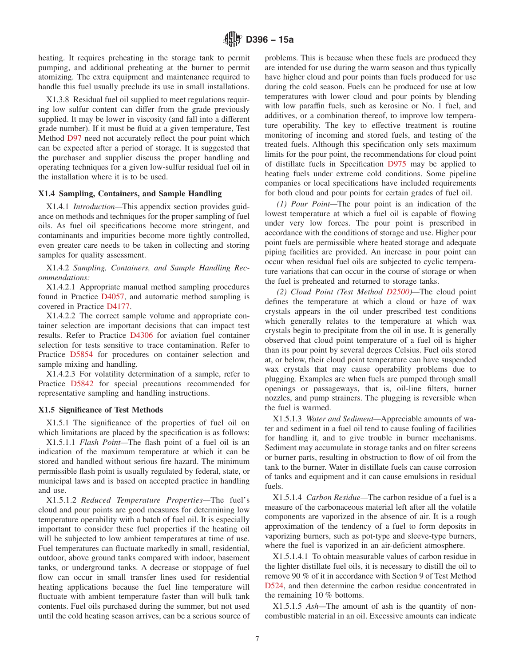heating. It requires preheating in the storage tank to permit pumping, and additional preheating at the burner to permit atomizing. The extra equipment and maintenance required to handle this fuel usually preclude its use in small installations.

X1.3.8 Residual fuel oil supplied to meet regulations requiring low sulfur content can differ from the grade previously supplied. It may be lower in viscosity (and fall into a different grade number). If it must be fluid at a given temperature, Test Method D97 need not accurately reflect the pour point which can be expected after a period of storage. It is suggested that the purchaser and supplier discuss the proper handling and operating techniques for a given low-sulfur residual fuel oil in the installation where it is to be used.

#### **X1.4 Sampling, Containers, and Sample Handling**

X1.4.1 *Introduction—*This appendix section provides guidance on methods and techniques for the proper sampling of fuel oils. As fuel oil specifications become more stringent, and contaminants and impurities become more tightly controlled, even greater care needs to be taken in collecting and storing samples for quality assessment.

X1.4.2 *Sampling, Containers, and Sample Handling Recommendations:*

X1.4.2.1 Appropriate manual method sampling procedures found in Practice D4057, and automatic method sampling is covered in Practice D4177.

X1.4.2.2 The correct sample volume and appropriate container selection are important decisions that can impact test results. Refer to Practice D4306 for aviation fuel container selection for tests sensitive to trace contamination. Refer to Practice D5854 for procedures on container selection and sample mixing and handling.

X1.4.2.3 For volatility determination of a sample, refer to Practice D5842 for special precautions recommended for representative sampling and handling instructions.

#### **X1.5 Significance of Test Methods**

X1.5.1 The significance of the properties of fuel oil on which limitations are placed by the specification is as follows:

X1.5.1.1 *Flash Point—*The flash point of a fuel oil is an indication of the maximum temperature at which it can be stored and handled without serious fire hazard. The minimum permissible flash point is usually regulated by federal, state, or municipal laws and is based on accepted practice in handling and use.

X1.5.1.2 *Reduced Temperature Properties—*The fuel's cloud and pour points are good measures for determining low temperature operability with a batch of fuel oil. It is especially important to consider these fuel properties if the heating oil will be subjected to low ambient temperatures at time of use. Fuel temperatures can fluctuate markedly in small, residential, outdoor, above ground tanks compared with indoor, basement tanks, or underground tanks. A decrease or stoppage of fuel flow can occur in small transfer lines used for residential heating applications because the fuel line temperature will fluctuate with ambient temperature faster than will bulk tank contents. Fuel oils purchased during the summer, but not used until the cold heating season arrives, can be a serious source of problems. This is because when these fuels are produced they are intended for use during the warm season and thus typically have higher cloud and pour points than fuels produced for use during the cold season. Fuels can be produced for use at low temperatures with lower cloud and pour points by blending with low paraffin fuels, such as kerosine or No. 1 fuel, and additives, or a combination thereof, to improve low temperature operability. The key to effective treatment is routine monitoring of incoming and stored fuels, and testing of the treated fuels. Although this specification only sets maximum limits for the pour point, the recommendations for cloud point of distillate fuels in Specification D975 may be applied to heating fuels under extreme cold conditions. Some pipeline companies or local specifications have included requirements for both cloud and pour points for certain grades of fuel oil.

*(1) Pour Point—*The pour point is an indication of the lowest temperature at which a fuel oil is capable of flowing under very low forces. The pour point is prescribed in accordance with the conditions of storage and use. Higher pour point fuels are permissible where heated storage and adequate piping facilities are provided. An increase in pour point can occur when residual fuel oils are subjected to cyclic temperature variations that can occur in the course of storage or when the fuel is preheated and returned to storage tanks.

*(2) Cloud Point (Test Method D2500)—*The cloud point defines the temperature at which a cloud or haze of wax crystals appears in the oil under prescribed test conditions which generally relates to the temperature at which wax crystals begin to precipitate from the oil in use. It is generally observed that cloud point temperature of a fuel oil is higher than its pour point by several degrees Celsius. Fuel oils stored at, or below, their cloud point temperature can have suspended wax crystals that may cause operability problems due to plugging. Examples are when fuels are pumped through small openings or passageways, that is, oil-line filters, burner nozzles, and pump strainers. The plugging is reversible when the fuel is warmed.

X1.5.1.3 *Water and Sediment—*Appreciable amounts of water and sediment in a fuel oil tend to cause fouling of facilities for handling it, and to give trouble in burner mechanisms. Sediment may accumulate in storage tanks and on filter screens or burner parts, resulting in obstruction to flow of oil from the tank to the burner. Water in distillate fuels can cause corrosion of tanks and equipment and it can cause emulsions in residual fuels.

X1.5.1.4 *Carbon Residue—*The carbon residue of a fuel is a measure of the carbonaceous material left after all the volatile components are vaporized in the absence of air. It is a rough approximation of the tendency of a fuel to form deposits in vaporizing burners, such as pot-type and sleeve-type burners, where the fuel is vaporized in an air-deficient atmosphere.

X1.5.1.4.1 To obtain measurable values of carbon residue in the lighter distillate fuel oils, it is necessary to distill the oil to remove 90 % of it in accordance with Section 9 of Test Method D524, and then determine the carbon residue concentrated in the remaining 10 % bottoms.

X1.5.1.5 *Ash—*The amount of ash is the quantity of noncombustible material in an oil. Excessive amounts can indicate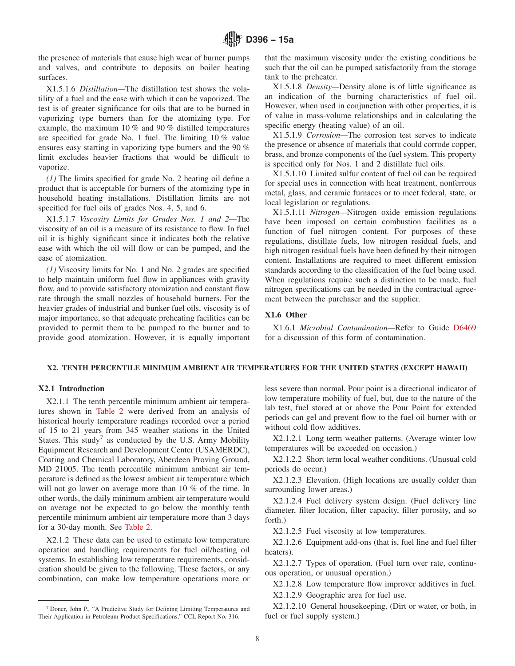the presence of materials that cause high wear of burner pumps and valves, and contribute to deposits on boiler heating surfaces.

X1.5.1.6 *Distillation—*The distillation test shows the volatility of a fuel and the ease with which it can be vaporized. The test is of greater significance for oils that are to be burned in vaporizing type burners than for the atomizing type. For example, the maximum 10 % and 90 % distilled temperatures are specified for grade No. 1 fuel. The limiting 10 % value ensures easy starting in vaporizing type burners and the 90 % limit excludes heavier fractions that would be difficult to vaporize.

*(1)* The limits specified for grade No. 2 heating oil define a product that is acceptable for burners of the atomizing type in household heating installations. Distillation limits are not specified for fuel oils of grades Nos. 4, 5, and 6.

X1.5.1.7 *Viscosity Limits for Grades Nos. 1 and 2—*The viscosity of an oil is a measure of its resistance to flow. In fuel oil it is highly significant since it indicates both the relative ease with which the oil will flow or can be pumped, and the ease of atomization.

*(1)* Viscosity limits for No. 1 and No. 2 grades are specified to help maintain uniform fuel flow in appliances with gravity flow, and to provide satisfactory atomization and constant flow rate through the small nozzles of household burners. For the heavier grades of industrial and bunker fuel oils, viscosity is of major importance, so that adequate preheating facilities can be provided to permit them to be pumped to the burner and to provide good atomization. However, it is equally important that the maximum viscosity under the existing conditions be such that the oil can be pumped satisfactorily from the storage tank to the preheater.

X1.5.1.8 *Density—*Density alone is of little significance as an indication of the burning characteristics of fuel oil. However, when used in conjunction with other properties, it is of value in mass-volume relationships and in calculating the specific energy (heating value) of an oil.

X1.5.1.9 *Corrosion—*The corrosion test serves to indicate the presence or absence of materials that could corrode copper, brass, and bronze components of the fuel system. This property is specified only for Nos. 1 and 2 distillate fuel oils.

X1.5.1.10 Limited sulfur content of fuel oil can be required for special uses in connection with heat treatment, nonferrous metal, glass, and ceramic furnaces or to meet federal, state, or local legislation or regulations.

X1.5.1.11 *Nitrogen—*Nitrogen oxide emission regulations have been imposed on certain combustion facilities as a function of fuel nitrogen content. For purposes of these regulations, distillate fuels, low nitrogen residual fuels, and high nitrogen residual fuels have been defined by their nitrogen content. Installations are required to meet different emission standards according to the classification of the fuel being used. When regulations require such a distinction to be made, fuel nitrogen specifications can be needed in the contractual agreement between the purchaser and the supplier.

#### **X1.6 Other**

X1.6.1 *Microbial Contamination—*Refer to Guide D6469 for a discussion of this form of contamination.

#### **X2. TENTH PERCENTILE MINIMUM AMBIENT AIR TEMPERATURES FOR THE UNITED STATES (EXCEPT HAWAII)**

#### **X2.1 Introduction**

X2.1.1 The tenth percentile minimum ambient air temperatures shown in Table 2 were derived from an analysis of historical hourly temperature readings recorded over a period of 15 to 21 years from 345 weather stations in the United States. This study<sup>7</sup> as conducted by the U.S. Army Mobility Equipment Research and Development Center (USAMERDC), Coating and Chemical Laboratory, Aberdeen Proving Ground, MD 21005. The tenth percentile minimum ambient air temperature is defined as the lowest ambient air temperature which will not go lower on average more than 10 % of the time. In other words, the daily minimum ambient air temperature would on average not be expected to go below the monthly tenth percentile minimum ambient air temperature more than 3 days for a 30-day month. See Table 2.

X2.1.2 These data can be used to estimate low temperature operation and handling requirements for fuel oil/heating oil systems. In establishing low temperature requirements, consideration should be given to the following. These factors, or any combination, can make low temperature operations more or less severe than normal. Pour point is a directional indicator of low temperature mobility of fuel, but, due to the nature of the lab test, fuel stored at or above the Pour Point for extended periods can gel and prevent flow to the fuel oil burner with or without cold flow additives.

X2.1.2.1 Long term weather patterns. (Average winter low temperatures will be exceeded on occasion.)

X2.1.2.2 Short term local weather conditions. (Unusual cold periods do occur.)

X2.1.2.3 Elevation. (High locations are usually colder than surrounding lower areas.)

X2.1.2.4 Fuel delivery system design. (Fuel delivery line diameter, filter location, filter capacity, filter porosity, and so forth.)

X2.1.2.5 Fuel viscosity at low temperatures.

X2.1.2.6 Equipment add-ons (that is, fuel line and fuel filter heaters).

X2.1.2.7 Types of operation. (Fuel turn over rate, continuous operation, or unusual operation.)

X2.1.2.8 Low temperature flow improver additives in fuel. X2.1.2.9 Geographic area for fuel use.

X2.1.2.10 General housekeeping. (Dirt or water, or both, in fuel or fuel supply system.)

<sup>7</sup> Doner, John P., "A Predictive Study for Defining Limiting Temperatures and Their Application in Petroleum Product Specifications," CCL Report No. 316.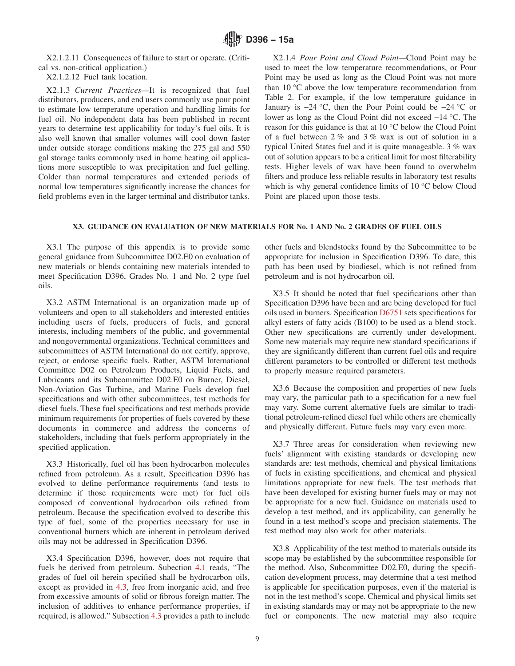X2.1.2.11 Consequences of failure to start or operate. (Critical vs. non-critical application.)

X2.1.2.12 Fuel tank location.

X2.1.3 *Current Practices—*It is recognized that fuel distributors, producers, and end users commonly use pour point to estimate low temperature operation and handling limits for fuel oil. No independent data has been published in recent years to determine test applicability for today's fuel oils. It is also well known that smaller volumes will cool down faster under outside storage conditions making the 275 gal and 550 gal storage tanks commonly used in home heating oil applications more susceptible to wax precipitation and fuel gelling. Colder than normal temperatures and extended periods of normal low temperatures significantly increase the chances for field problems even in the larger terminal and distributor tanks.

X2.1.4 *Pour Point and Cloud Point—*Cloud Point may be used to meet the low temperature recommendations, or Pour Point may be used as long as the Cloud Point was not more than 10 °C above the low temperature recommendation from Table 2. For example, if the low temperature guidance in January is −24 °C, then the Pour Point could be −24 °C or lower as long as the Cloud Point did not exceed −14 °C. The reason for this guidance is that at 10 °C below the Cloud Point of a fuel between 2 % and 3 % wax is out of solution in a typical United States fuel and it is quite manageable. 3 % wax out of solution appears to be a critical limit for most filterability tests. Higher levels of wax have been found to overwhelm filters and produce less reliable results in laboratory test results which is why general confidence limits of 10 °C below Cloud Point are placed upon those tests.

#### **X3. GUIDANCE ON EVALUATION OF NEW MATERIALS FOR No. 1 AND No. 2 GRADES OF FUEL OILS**

X3.1 The purpose of this appendix is to provide some general guidance from Subcommittee D02.E0 on evaluation of new materials or blends containing new materials intended to meet Specification D396, Grades No. 1 and No. 2 type fuel oils.

X3.2 ASTM International is an organization made up of volunteers and open to all stakeholders and interested entities including users of fuels, producers of fuels, and general interests, including members of the public, and governmental and nongovernmental organizations. Technical committees and subcommittees of ASTM International do not certify, approve, reject, or endorse specific fuels. Rather, ASTM International Committee D02 on Petroleum Products, Liquid Fuels, and Lubricants and its Subcommittee D02.E0 on Burner, Diesel, Non-Aviation Gas Turbine, and Marine Fuels develop fuel specifications and with other subcommittees, test methods for diesel fuels. These fuel specifications and test methods provide minimum requirements for properties of fuels covered by these documents in commerce and address the concerns of stakeholders, including that fuels perform appropriately in the specified application.

X3.3 Historically, fuel oil has been hydrocarbon molecules refined from petroleum. As a result, Specification D396 has evolved to define performance requirements (and tests to determine if those requirements were met) for fuel oils composed of conventional hydrocarbon oils refined from petroleum. Because the specification evolved to describe this type of fuel, some of the properties necessary for use in conventional burners which are inherent in petroleum derived oils may not be addressed in Specification D396.

X3.4 Specification D396, however, does not require that fuels be derived from petroleum. Subection 4.1 reads, "The grades of fuel oil herein specified shall be hydrocarbon oils, except as provided in 4.3, free from inorganic acid, and free from excessive amounts of solid or fibrous foreign matter. The inclusion of additives to enhance performance properties, if required, is allowed." Subsection 4.3 provides a path to include

other fuels and blendstocks found by the Subcommittee to be appropriate for inclusion in Specification D396. To date, this path has been used by biodiesel, which is not refined from petroleum and is not hydrocarbon oil.

X3.5 It should be noted that fuel specifications other than Specification D396 have been and are being developed for fuel oils used in burners. Specification D6751 sets specifications for alkyl esters of fatty acids (B100) to be used as a blend stock. Other new specifications are currently under development. Some new materials may require new standard specifications if they are significantly different than current fuel oils and require different parameters to be controlled or different test methods to properly measure required parameters.

X3.6 Because the composition and properties of new fuels may vary, the particular path to a specification for a new fuel may vary. Some current alternative fuels are similar to traditional petroleum-refined diesel fuel while others are chemically and physically different. Future fuels may vary even more.

X3.7 Three areas for consideration when reviewing new fuels' alignment with existing standards or developing new standards are: test methods, chemical and physical limitations of fuels in existing specifications, and chemical and physical limitations appropriate for new fuels. The test methods that have been developed for existing burner fuels may or may not be appropriate for a new fuel. Guidance on materials used to develop a test method, and its applicability, can generally be found in a test method's scope and precision statements. The test method may also work for other materials.

X3.8 Applicability of the test method to materials outside its scope may be established by the subcommittee responsible for the method. Also, Subcommittee D02.E0, during the specification development process, may determine that a test method is applicable for specification purposes, even if the material is not in the test method's scope. Chemical and physical limits set in existing standards may or may not be appropriate to the new fuel or components. The new material may also require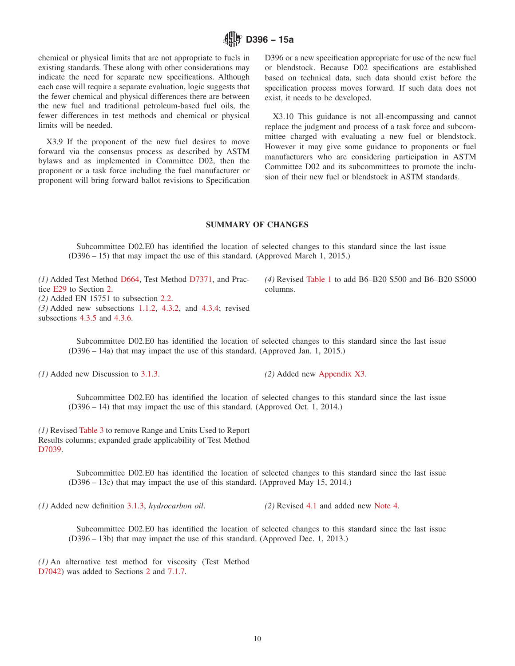

chemical or physical limits that are not appropriate to fuels in existing standards. These along with other considerations may indicate the need for separate new specifications. Although each case will require a separate evaluation, logic suggests that the fewer chemical and physical differences there are between the new fuel and traditional petroleum-based fuel oils, the fewer differences in test methods and chemical or physical limits will be needed.

X3.9 If the proponent of the new fuel desires to move forward via the consensus process as described by ASTM bylaws and as implemented in Committee D02, then the proponent or a task force including the fuel manufacturer or proponent will bring forward ballot revisions to Specification D396 or a new specification appropriate for use of the new fuel or blendstock. Because D02 specifications are established based on technical data, such data should exist before the specification process moves forward. If such data does not exist, it needs to be developed.

X3.10 This guidance is not all-encompassing and cannot replace the judgment and process of a task force and subcommittee charged with evaluating a new fuel or blendstock. However it may give some guidance to proponents or fuel manufacturers who are considering participation in ASTM Committee D02 and its subcommittees to promote the inclusion of their new fuel or blendstock in ASTM standards.

#### **SUMMARY OF CHANGES**

Subcommittee D02.E0 has identified the location of selected changes to this standard since the last issue (D396 – 15) that may impact the use of this standard. (Approved March 1, 2015.)

*(1)* Added Test Method D664, Test Method D7371, and Practice E29 to Section 2. *(2)* Added EN 15751 to subsection 2.2. *(3)* Added new subsections 1.1.2, 4.3.2, and 4.3.4; revised subsections 4.3.5 and 4.3.6.

*(4)* Revised Table 1 to add B6–B20 S500 and B6–B20 S5000 columns.

Subcommittee D02.E0 has identified the location of selected changes to this standard since the last issue (D396 – 14a) that may impact the use of this standard. (Approved Jan. 1, 2015.)

*(1)* Added new Discussion to 3.1.3. *(2)* Added new Appendix X3.

Subcommittee D02.E0 has identified the location of selected changes to this standard since the last issue (D396 – 14) that may impact the use of this standard. (Approved Oct. 1, 2014.)

*(1)* Revised Table 3 to remove Range and Units Used to Report Results columns; expanded grade applicability of Test Method D7039.

> Subcommittee D02.E0 has identified the location of selected changes to this standard since the last issue (D396 – 13c) that may impact the use of this standard. (Approved May 15, 2014.)

*(1)* Added new definition 3.1.3, *hydrocarbon oil*. *(2)* Revised 4.1 and added new Note 4.

Subcommittee D02.E0 has identified the location of selected changes to this standard since the last issue (D396 – 13b) that may impact the use of this standard. (Approved Dec. 1, 2013.)

*(1)* An alternative test method for viscosity (Test Method D7042) was added to Sections 2 and 7.1.7.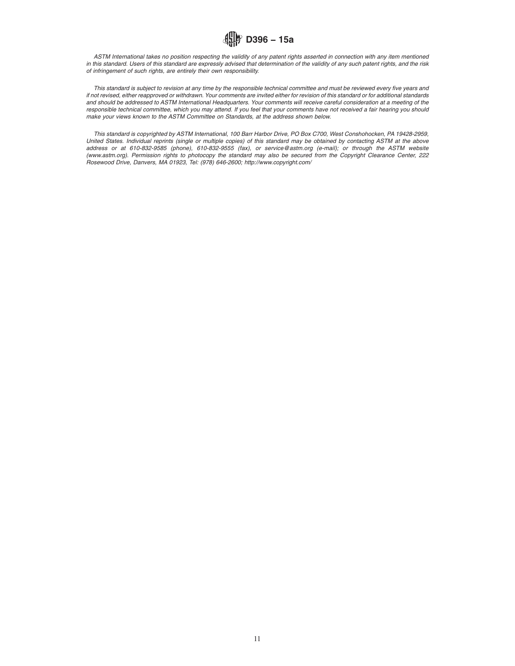

*ASTM International takes no position respecting the validity of any patent rights asserted in connection with any item mentioned in this standard. Users of this standard are expressly advised that determination of the validity of any such patent rights, and the risk of infringement of such rights, are entirely their own responsibility.*

*This standard is subject to revision at any time by the responsible technical committee and must be reviewed every five years and if not revised, either reapproved or withdrawn. Your comments are invited either for revision of this standard or for additional standards and should be addressed to ASTM International Headquarters. Your comments will receive careful consideration at a meeting of the responsible technical committee, which you may attend. If you feel that your comments have not received a fair hearing you should make your views known to the ASTM Committee on Standards, at the address shown below.*

*This standard is copyrighted by ASTM International, 100 Barr Harbor Drive, PO Box C700, West Conshohocken, PA 19428-2959, United States. Individual reprints (single or multiple copies) of this standard may be obtained by contacting ASTM at the above address or at 610-832-9585 (phone), 610-832-9555 (fax), or service@astm.org (e-mail); or through the ASTM website (www.astm.org). Permission rights to photocopy the standard may also be secured from the Copyright Clearance Center, 222 Rosewood Drive, Danvers, MA 01923, Tel: (978) 646-2600; http://www.copyright.com/*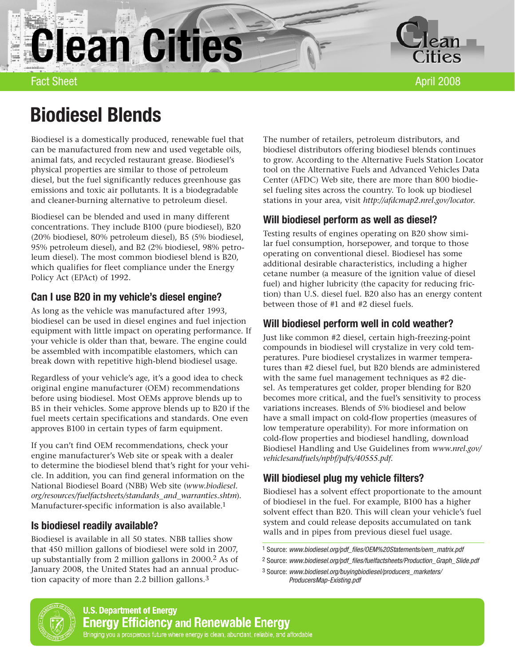**Clean Cities** 



Fact Sheet April 2008

# Biodiesel Blends

Biodiesel is a domestically produced, renewable fuel that can be manufactured from new and used vegetable oils, animal fats, and recycled restaurant grease. Biodiesel's physical properties are similar to those of petroleum diesel, but the fuel significantly reduces greenhouse gas emissions and toxic air pollutants. It is a biodegradable and cleaner-burning alternative to petroleum diesel.

Biodiesel can be blended and used in many different concentrations. They include B100 (pure biodiesel), B20 (20% biodiesel, 80% petroleum diesel), B5 (5% biodiesel, 95% petroleum diesel), and B2 (2% biodiesel, 98% petroleum diesel). The most common biodiesel blend is B20, which qualifies for fleet compliance under the Energy Policy Act (EPAct) of 1992.

# Can I use B20 in my vehicle's diesel engine?

As long as the vehicle was manufactured after 1993, biodiesel can be used in diesel engines and fuel injection equipment with little impact on operating performance. If your vehicle is older than that, beware. The engine could be assembled with incompatible elastomers, which can break down with repetitive high-blend biodiesel usage.

Regardless of your vehicle's age, it's a good idea to check original engine manufacturer (OEM) recommendations before using biodiesel. Most OEMs approve blends up to B5 in their vehicles. Some approve blends up to B20 if the fuel meets certain specifications and standards. One even approves B100 in certain types of farm equipment.

If you can't find OEM recommendations, check your engine manufacturer's Web site or speak with a dealer to determine the biodiesel blend that's right for your vehicle. In addition, you can find general information on the National Biodiesel Board (NBB) Web site (*www.biodiesel. org/resources/fuelfactsheets/standards\_and\_warranties.shtm*). Manufacturer-specific information is also available. 1

## Is biodiesel readily available?

Biodiesel is available in all 50 states. NBB tallies show that 450 million gallons of biodiesel were sold in 2007, up substantially from 2 million gallons in 2000.2 As of January 2008, the United States had an annual production capacity of more than 2.2 billion gallons.3

The number of retailers, petroleum distributors, and biodiesel distributors offering biodiesel blends continues to grow. According to the Alternative Fuels Station Locator tool on the Alternative Fuels and Advanced Vehicles Data Center (AFDC) Web site, there are more than 800 biodiesel fueling sites across the country. To look up biodiesel stations in your area, visit *http://afdcmap2.nrel.gov/locator.*

# Will biodiesel perform as well as diesel?

Testing results of engines operating on B20 show similar fuel consumption, horsepower, and torque to those operating on conventional diesel. Biodiesel has some additional desirable characteristics, including a higher cetane number (a measure of the ignition value of diesel fuel) and higher lubricity (the capacity for reducing friction) than U.S. diesel fuel. B20 also has an energy content between those of #1 and #2 diesel fuels.

# Will biodiesel perform well in cold weather?

Just like common #2 diesel, certain high-freezing-point compounds in biodiesel will crystalize in very cold temperatures. Pure biodiesel crystalizes in warmer temperatures than #2 diesel fuel, but B20 blends are administered with the same fuel management techniques as #2 diesel. As temperatures get colder, proper blending for B20 becomes more critical, and the fuel's sensitivity to process variations increases. Blends of 5% biodiesel and below have a small impact on cold-flow properties (measures of low temperature operability). For more information on cold-flow properties and biodiesel handling, download Biodiesel Handling and Use Guidelines from *www.nrel.gov/ vehiclesandfuels/npbf/pdfs/40555.pdf*.

# Will biodiesel plug my vehicle filters?

Biodiesel has a solvent effect proportionate to the amount of biodiesel in the fuel. For example, B100 has a higher solvent effect than B20. This will clean your vehicle's fuel system and could release deposits accumulated on tank walls and in pipes from previous diesel fuel usage.

- 1 Source: www.biodiesel.org/pdf\_files/OEM%20Statements/oem\_matrix.pdf
- 2 Source: www.biodiesel.org/pdf\_files/fuelfactsheets/Production\_Graph\_Slide.pdf



<sup>3</sup> Source: www.biodiesel.org/buyingbiodiesel/producers\_marketers/ ProducersMap-Existing.pdf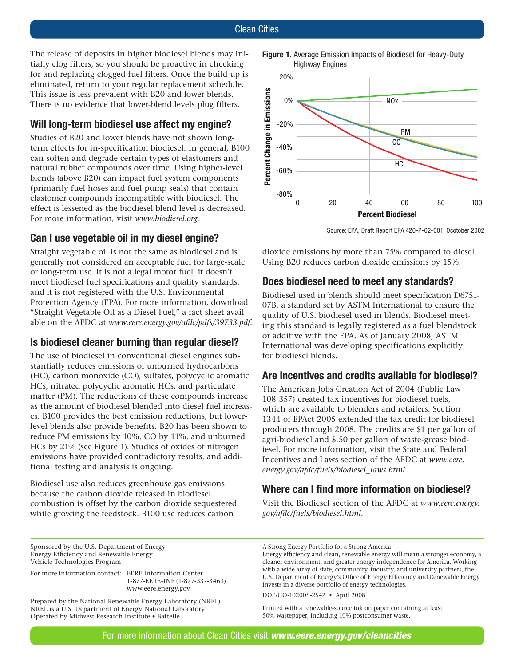The release of deposits in higher biodiesel blends may initially clog filters, so you should be proactive in checking for and replacing clogged fuel filters. Once the build-up is eliminated, return to your regular replacement schedule. This issue is less prevalent with B20 and lower blends. There is no evidence that lower-blend levels plug filters.

## Will long-term biodiesel use affect my engine?

Studies of B20 and lower blends have not shown longterm effects for in-specification biodiesel. In general, B100 can soften and degrade certain types of elastomers and natural rubber compounds over time. Using higher-level blends (above B20) can impact fuel system components (primarily fuel hoses and fuel pump seals) that contain elastomer compounds incompatible with biodiesel. The effect is lessened as the biodiesel blend level is decreased. For more information, visit *www.biodiesel.org*.

## Can I use vegetable oil in my diesel engine?

Straight vegetable oil is not the same as biodiesel and is generally not considered an acceptable fuel for large-scale or long-term use. It is not a legal motor fuel, it doesn't meet biodiesel fuel specifications and quality standards, and it is not registered with the U.S. Environmental Protection Agency (EPA). For more information, download "Straight Vegetable Oil as a Diesel Fuel," a fact sheet available on the AFDC at *www.eere.energy.gov/afdc/pdfs/39733.pdf*.

### Is biodiesel cleaner burning than regular diesel?

The use of biodiesel in conventional diesel engines substantially reduces emissions of unburned hydrocarbons (HC), carbon monoxide (CO), sulfates, polycyclic aromatic HCs, nitrated polycyclic aromatic HCs, and particulate matter (PM). The reductions of these compounds increase as the amount of biodiesel blended into diesel fuel increases. B100 provides the best emission reductions, but lowerlevel blends also provide benefits. B20 has been shown to reduce PM emissions by 10%, CO by 11%, and unburned HCs by 21% (see Figure 1). Studies of oxides of nitrogen emissions have provided contradictory results, and additional testing and analysis is ongoing.

Biodiesel use also reduces greenhouse gas emissions because the carbon dioxide released in biodiesel combustion is offset by the carbon dioxide sequestered while growing the feedstock. B100 use reduces carbon



Figure 1. Average Emission Impacts of Biodiesel for Heavy-Duty

Source: EPA, Draft Report EPA 420-P-02-001, Ocotober 2002

dioxide emissions by more than 75% compared to diesel. Using B20 reduces carbon dioxide emissions by 15%.

## Does biodiesel need to meet any standards?

Biodiesel used in blends should meet specification D6751- 07B, a standard set by ASTM International to ensure the quality of U.S. biodiesel used in blends. Biodiesel meeting this standard is legally registered as a fuel blendstock or additive with the EPA. As of January 2008, ASTM International was developing specifications explicitly for biodiesel blends.

### Are incentives and credits available for biodiesel?

The American Jobs Creation Act of 2004 (Public Law 108-357) created tax incentives for biodiesel fuels, which are available to blenders and retailers. Section 1344 of EPAct 2005 extended the tax credit for biodiesel producers through 2008. The credits are \$1 per gallon of agri-biodiesel and \$.50 per gallon of waste-grease biodiesel. For more information, visit the State and Federal Incentives and Laws section of the AFDC at *www.eere. energy.gov/afdc/fuels/biodiesel\_laws.html*.

## Where can I find more information on biodiesel?

Visit the Biodiesel section of the AFDC at *www.eere.energy. gov/afdc/fuels/biodiesel.html*.

Sponsored by the U.S. Department of Energy Energy Efficiency and Renewable Energy Vehicle Technologies Program

For more information contact: EERE Information Center

1-877-EERE-INF (1-877-337-3463) www.eere.energy.gov

Prepared by the National Renewable Energy Laboratory (NREL) NREL is a U.S. Department of Energy National Laboratory Operated by Midwest Research Institute . Battelle

A Strong Energy Portfolio for a Strong America

Energy efficiency and clean, renewable energy will mean a stronger economy, a cleaner environment, and greater energy independence for America. Working with a wide array of state, community, industry, and university partners, the U.S. Department of Energy's Office of Energy Efficiency and Renewable Energy invests in a diverse portfolio of energy technologies.

DOE/GO-102008-2542 · April 2008

Printed with a renewable-source ink on paper containing at least 50% wastepaper, including 10% postconsumer waste.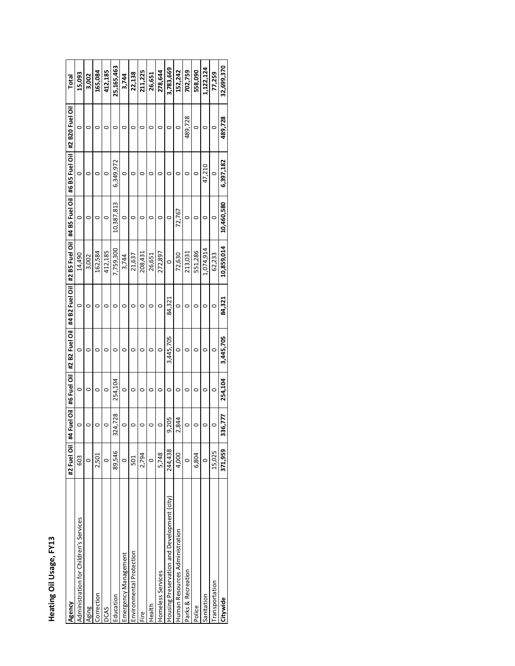| r<br>ŗ |
|--------|
|        |
|        |
| O      |

| Agency                                      | #2 Fuel Oil | 4 Fuel Oil<br># |         | #6 Fuel Oil   #2 B2 Fuel Oil |        | #4 B2 Fuel Oil   #2 B5 Fuel Oil   #4 B5 Fuel Oil   #6 B5 Fuel Oil |            |           | #2 B20 Fuel Oil | Total      |
|---------------------------------------------|-------------|-----------------|---------|------------------------------|--------|-------------------------------------------------------------------|------------|-----------|-----------------|------------|
| Administration for Children's Services      | 603         | 0               | $\circ$ | 0                            | O      | 14,490                                                            | 0          | 0         | 0               | 15,093     |
| Aging                                       | O           |                 |         | 0                            |        | 3,002                                                             |            |           | 0               | 3,002      |
| Correction                                  | 2,501       |                 | ○       | o                            |        | 162,584                                                           |            |           | 0               | 165,084    |
| <b>DCAS</b>                                 | O           |                 | 0       | 0                            |        | 412,185                                                           | c          | 0         | 0               | 412,185    |
| Education                                   | 89,546      | 324,728         | 254,104 | 0                            | 0      | 7,759,300                                                         | 10,387,813 | 6.349.972 | 0               | 25,165,463 |
| Emergency Management                        | $\circ$     | 0               | $\circ$ | 0                            | 0      | 3,744                                                             | 0          | 0         | 0               | 3,744      |
| Environmental Protection                    | 501         |                 |         |                              | o      | 21,637                                                            |            |           | 0               | 22,138     |
| Fire                                        | 2,794       |                 | o       |                              |        | 208,431                                                           |            |           |                 | 211,225    |
| Health                                      | $\circ$     |                 |         | 0                            |        | 26,651                                                            |            |           |                 | 26,651     |
| Homeless Services                           | 5,748       |                 | ○       | 0                            | 0      | 272,897                                                           |            |           | 0               | 278,644    |
| Housing Preservation and Development (city) | 244,438     | 9,205           |         | 3,445,705                    | 84,321 |                                                                   |            |           |                 | 3,783,669  |
| Human Resources Administration              | 4,000       | 2,844           |         | 0                            | 0      | 72,630                                                            | 72,767     |           | 0               | 152,242    |
| Parks & Recreation                          | $\circ$     | 0               |         | 0                            |        | 213,031                                                           |            |           | 489,728         | 702,759    |
| Police                                      | 6,804       |                 |         | o                            |        | 551,286                                                           |            | 0         | 0               | 558,090    |
| Sanitation                                  | $\circ$     |                 |         |                              |        | 1,074,914                                                         |            | 47,210    | o               | 1,122,124  |
| Transportation                              | 15,025      |                 | 0       | 0                            | 0      | 62,233                                                            |            | $\circ$   | 0               | 77,259     |
| Citywide                                    | 371,959     | 336,777         | 254,104 | 3,445,705                    | 84,321 | 10,859,014                                                        | 10,460,580 | 6,397,182 | 489,728         | 32,699,370 |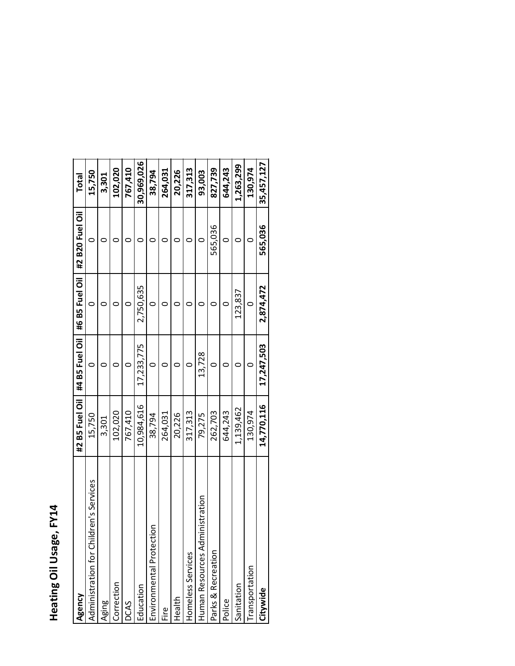# Heating Oil Usage, FY14

| Agency                                      | #2 B5 Fuel Oil | #4 B5 Fuel Oil | #6 B5 Fuel Oil | #2 B20 Fuel Oil | <b>Total</b> |
|---------------------------------------------|----------------|----------------|----------------|-----------------|--------------|
| dren's Services<br>Administration for Chile | 15,750         |                |                |                 | 15,750       |
| Aging                                       | 3,301          |                |                |                 | 3,301        |
| Correction                                  | 102,020        |                |                |                 | 102,020      |
| DCAS                                        | 767,410        |                |                |                 | 767,410      |
| Education                                   | 10,984,616     | 17,233,775     | 2,750,635      |                 | 30,969,026   |
| δ<br>Environmental Protecti                 | 38,794         | 0              | 0              |                 | 38,794       |
| Eire                                        | 264,031        |                |                |                 | 264,031      |
| Health                                      | 20,226         |                |                |                 | 20,226       |
| Homeless Services                           | 317,313        |                |                |                 | 317,313      |
| inistration<br>Human Resources Adm          | 79,275         | 13,728         |                |                 | 93,003       |
| Parks & Recreation                          | 262,703        |                |                | 565,036         | 827,739      |
| Police                                      | 644,243        |                | ○              |                 | 644,243      |
| Sanitation                                  | 1,139,462      |                | 123,837        |                 | 1,263,299    |
| Transportation                              | 130,974        |                | 0              |                 | 130,974      |
| Citywide                                    | 14,770,116     | 17,247,503     | 2,874,472      | 565,036         | 35,457,127   |
|                                             |                |                |                |                 |              |